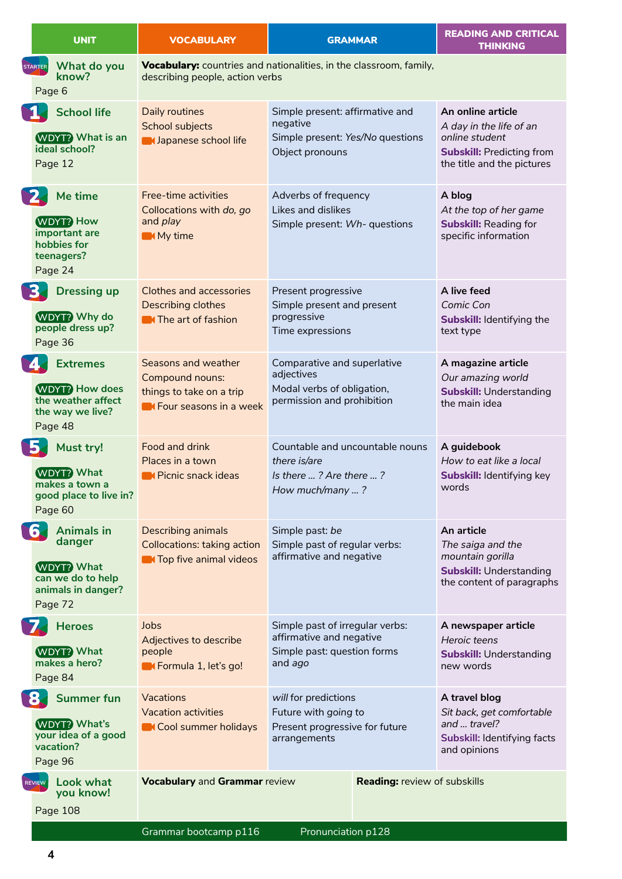|                | <b>UNIT</b>                                                                                            | <b>VOCABULARY</b>                                                                                       | <b>GRAMMAR</b>                                                                                        | <b>READING AND CRITICAL</b><br><b>THINKING</b>                                                                                   |
|----------------|--------------------------------------------------------------------------------------------------------|---------------------------------------------------------------------------------------------------------|-------------------------------------------------------------------------------------------------------|----------------------------------------------------------------------------------------------------------------------------------|
| <b>STARTER</b> | What do you<br>know?<br>Page 6                                                                         | describing people, action verbs                                                                         | Vocabulary: countries and nationalities, in the classroom, family,                                    |                                                                                                                                  |
| N.             | <b>School life</b><br><b>WDYT?</b> What is an<br>ideal school?<br>Page 12                              | Daily routines<br>School subjects<br><b>Mapanese school life</b>                                        | Simple present: affirmative and<br>negative<br>Simple present: Yes/No questions<br>Object pronouns    | An online article<br>A day in the life of an<br>online student<br><b>Subskill: Predicting from</b><br>the title and the pictures |
| E              | Me time<br><b>WDYT? How</b><br>important are<br>hobbies for<br>teenagers?<br>Page 24                   | Free-time activities<br>Collocations with do, go<br>and play<br>My time                                 | Adverbs of frequency<br>Likes and dislikes<br>Simple present: Wh- questions                           | A blog<br>At the top of her game<br><b>Subskill: Reading for</b><br>specific information                                         |
| 3.             | <b>Dressing up</b><br><b>WDYT?</b> Why do<br>people dress up?<br>Page 36                               | <b>Clothes and accessories</b><br>Describing clothes<br><b>N</b> The art of fashion                     | Present progressive<br>Simple present and present<br>progressive<br>Time expressions                  | A live feed<br>Comic Con<br><b>Subskill: Identifying the</b><br>text type                                                        |
|                | <b>Extremes</b><br><b>WDYT?</b> How does<br>the weather affect<br>the way we live?<br>Page 48          | Seasons and weather<br><b>Compound nouns:</b><br>things to take on a trip<br>Get Four seasons in a week | Comparative and superlative<br>adjectives<br>Modal verbs of obligation,<br>permission and prohibition | A magazine article<br>Our amazing world<br><b>Subskill: Understanding</b><br>the main idea                                       |
| <b>B</b>       | Must try!<br><b>WDYT? What</b><br>makes a town a<br>good place to live in?<br>Page 60                  | Food and drink<br>Places in a town<br><b>N</b> Picnic snack ideas                                       | Countable and uncountable nouns<br>there is/are<br>Is there ? Are there ?<br>How much/many ?          | A guidebook<br>How to eat like a local<br>Subskill: Identifying key<br>words                                                     |
| 6.             | <b>Animals in</b><br>danger<br><b>WDYT?</b> What<br>can we do to help<br>animals in danger?<br>Page 72 | Describing animals<br>Collocations: taking action<br><b>The Top five animal videos</b>                  | Simple past: be<br>Simple past of regular verbs:<br>affirmative and negative                          | An article<br>The saiga and the<br>mountain gorilla<br><b>Subskill: Understanding</b><br>the content of paragraphs               |
|                | $\blacktriangleright$ Heroes<br><b>WDYT? What</b><br>makes a hero?<br>Page 84                          | Jobs<br>Adjectives to describe<br>people<br>Get Formula 1, let's go!                                    | Simple past of irregular verbs:<br>affirmative and negative<br>Simple past: question forms<br>and ago | A newspaper article<br>Heroic teens<br><b>Subskill: Understanding</b><br>new words                                               |
| <b>8</b>       | <b>Summer fun</b><br><b>WDYT?</b> What's<br>your idea of a good<br>vacation?<br>Page 96                | Vacations<br><b>Vacation activities</b><br>Cool summer holidays                                         | will for predictions<br>Future with going to<br>Present progressive for future<br>arrangements        | A travel blog<br>Sit back, get comfortable<br>and  travel?<br>Subskill: Identifying facts<br>and opinions                        |
|                | <b>REVIEW</b> Look what<br>you know!<br>Page 108                                                       | <b>Vocabulary and Grammar review</b>                                                                    |                                                                                                       | <b>Reading: review of subskills</b>                                                                                              |

Grammar bootcamp p116 Pronunciation p128